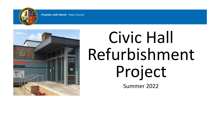

# Civic Hall Refurbishment Project

Summer 2022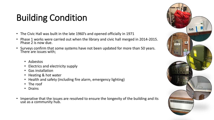# Building Condition

- The Civic Hall was built in the late 1960's and opened officially in 1971
- Phase 1 works were carried out when the library and civic hall merged in 2014-2015. Phase 2 is now due.
- Surveys confirm that some systems have not been updated for more than 50 years. There are issues with;
	- Asbestos
	- Electrics and electricity supply
	- Gas installation
	- Heating & hot water
	- Health and safety (including fire alarm, emergency lighting)
	- The roof
	- Drains
- Imperative that the issues are resolved to ensure the longevity of the building and its use as a community hub.

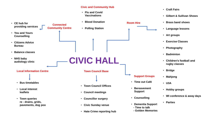#### **Civic and Community Hub**

- **Flu and Covid Vaccinations**
- **Room Hire Connected**  • **Blood Donation**
	- **Polling Station**

**Community Centre**

• **You and Yours Counselling**

**providing services**

• **CE hub for** 

- **Citizens Advice Bureau**
- **Balance classes**
- **NHS baby audiology clinic**

#### **Local Information Centre**

- **Bus timetables**
- **Local interest leaflets**
- **Town queries re - drains, grids, pavements, dog poo**



**Town Council Base**

- **Town Council Offices**
- **Council meetings**
- **Councillor surgery**
- **Civic Sunday venue**
- **Hate Crime reporting hub**
- **Craft Fairs**
- **Gilbert & Sullivan Shows**
- **Brass band shows**
- **Language lessons**
- **Art groups**
- **Exercise Classes**
- **Photography**
- **Badminton**
- **Children's football and rugby classes**
- **Bridge**
- **Support Groups**
- **Time out Café**
- **Bereavement Support**
- **Counselling**
- **Dementia Support**
	- **- Time to talk**
	- **- Golden Memories**

• **U3A**

• **Mahjong**

- **Hobby groups**
- **WI conference & away days**
- **Parties**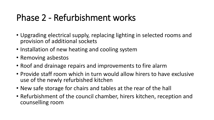### Phase 2 - Refurbishment works

- Upgrading electrical supply, replacing lighting in selected rooms and provision of additional sockets
- Installation of new heating and cooling system
- Removing asbestos
- Roof and drainage repairs and improvements to fire alarm
- Provide staff room which in turn would allow hirers to have exclusive use of the newly refurbished kitchen
- New safe storage for chairs and tables at the rear of the hall
- Refurbishment of the council chamber, hirers kitchen, reception and counselling room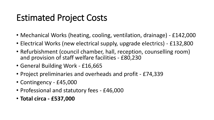### Estimated Project Costs

- Mechanical Works (heating, cooling, ventilation, drainage) £142,000
- Electrical Works (new electrical supply, upgrade electrics) £132,800
- Refurbishment (council chamber, hall, reception, counselling room) and provision of staff welfare facilities - £80,230
- General Building Work £16,665
- Project preliminaries and overheads and profit £74,339
- Contingency £45,000
- Professional and statutory fees £46,000
- **Total circa - £537,000**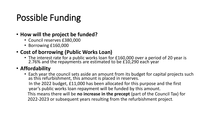# Possible Funding

- **How will the project be funded?**
	- Council reserves £380,000
	- Borrowing £160,000

#### • **Cost of borrowing (Public Works Loan)**

• The interest rate for a public works loan for £160,000 over a period of 20 year is 2.76% and the repayments are estimated to be £10,290 each year

#### • **Affordability**

• Each year the council sets aside an amount from its budget for capital projects such as this refurbishment, this amount is placed in reserves. In the 2022 budget, £11,000 has been allocated for this purpose and the first year's public works loan repayment will be funded by this amount. This means there will be **no increase in the precept** (part of the Council Tax) for 2022-2023 or subsequent years resulting from the refurbishment project.